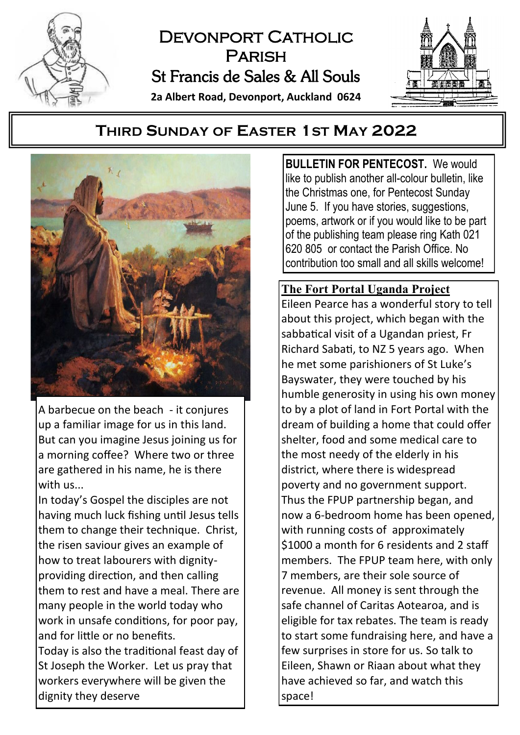

# DEVONPORT CATHOLIC **PARISH** St Francis de Sales & All Souls **2a Albert Road, Devonport, Auckland 0624**



# **THIRD SUNDAY OF EASTER 1ST MAY 2022**



A barbecue on the beach - it conjures up a familiar image for us in this land. But can you imagine Jesus joining us for a morning coffee? Where two or three are gathered in his name, he is there with us...

In today's Gospel the disciples are not having much luck fishing until Jesus tells them to change their technique. Christ, the risen saviour gives an example of how to treat labourers with dignityproviding direction, and then calling them to rest and have a meal. There are many people in the world today who work in unsafe conditions, for poor pay, and for little or no benefits.

Today is also the traditional feast day of St Joseph the Worker. Let us pray that workers everywhere will be given the dignity they deserve

BULLETIN FOR PENTECOST. We would like to publish another all-colour bulletin, like the Christmas one, for Pentecost Sunday June 5. If you have stories, suggestions, poems, artwork or if you would like to be part of the publishing team please ring Kath 021 620 805 or contact the Parish Office. No contribution too small and all skills welcome!

### **The Fort Portal Uganda Project**

Eileen Pearce has a wonderful story to tell about this project, which began with the sabbatical visit of a Ugandan priest, Fr Richard Sabati, to NZ 5 years ago. When he met some parishioners of St Luke's Bayswater, they were touched by his humble generosity in using his own money to by a plot of land in Fort Portal with the dream of building a home that could offer shelter, food and some medical care to the most needy of the elderly in his district, where there is widespread poverty and no government support. Thus the FPUP partnership began, and now a 6-bedroom home has been opened, with running costs of approximately \$1000 a month for 6 residents and 2 staff members. The FPUP team here, with only 7 members, are their sole source of revenue. All money is sent through the safe channel of Caritas Aotearoa, and is eligible for tax rebates. The team is ready to start some fundraising here, and have a few surprises in store for us. So talk to Eileen, Shawn or Riaan about what they have achieved so far, and watch this space!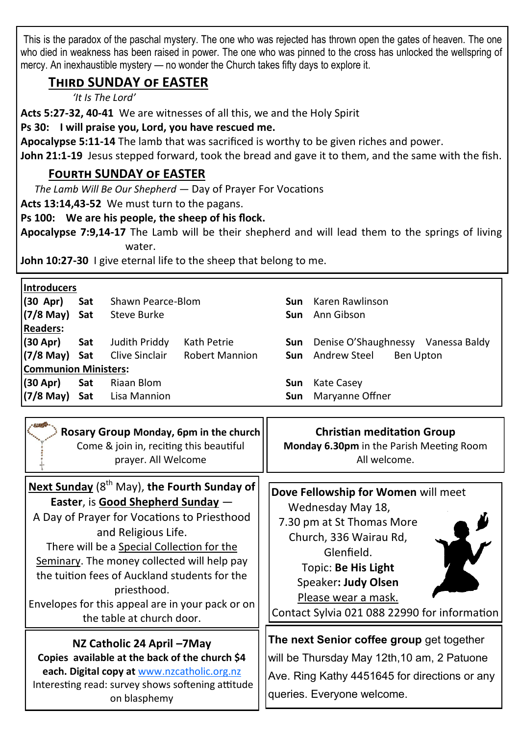This is the paradox of the paschal mystery. The one who was rejected has thrown open the gates of heaven. The one who died in weakness has been raised in power. The one who was pinned to the cross has unlocked the wellspring of mercy. An inexhaustible mystery — no wonder the Church takes fifty days to explore it.

# **Third SUNDAY of EASTER**

*'It Is The Lord'*

**Acts 5:27-32, 40-41** We are witnesses of all this, we and the Holy Spirit

#### **Ps 30: I will praise you, Lord, you have rescued me.**

**Apocalypse 5:11-14** The lamb that was sacrificed is worthy to be given riches and power.

**John 21:1-19** Jesus stepped forward, took the bread and gave it to them, and the same with the fish.

# **Fourth SUNDAY of EASTER**

*The Lamb Will Be Our Shepherd —* Day of Prayer For Vocations

**Acts 13:14,43-52** We must turn to the pagans.

**Ps 100: We are his people, the sheep of his flock.**

**Apocalypse 7:9,14-17** The Lamb will be their shepherd and will lead them to the springs of living water.

**John 10:27-30** I give eternal life to the sheep that belong to me.

| Introducers                 |     |                            |                                             |     |                                               |  |
|-----------------------------|-----|----------------------------|---------------------------------------------|-----|-----------------------------------------------|--|
| $(30$ Apr)                  | Sat | Shawn Pearce-Blom          |                                             |     | <b>Sun</b> Karen Rawlinson                    |  |
| $(7/8$ May) Sat             |     | Steve Burke                |                                             |     | <b>Sun</b> Ann Gibson                         |  |
| <b>Readers:</b>             |     |                            |                                             |     |                                               |  |
| (30 Apr) Sat                |     | Judith Priddy              | Kath Petrie                                 |     | <b>Sun</b> Denise O'Shaughnessy Vanessa Baldy |  |
|                             |     |                            | (7/8 May) Sat Clive Sinclair Robert Mannion |     | <b>Sun</b> Andrew Steel<br><b>Ben Upton</b>   |  |
| <b>Communion Ministers:</b> |     |                            |                                             |     |                                               |  |
| $(30$ Apr $)$ Sat           |     | Riaan Blom                 |                                             | Sun | Kate Casey                                    |  |
|                             |     | (7/8 May) Sat Lisa Mannion |                                             |     | <b>Sun</b> Maryanne Offner                    |  |

| Rosary Group Monday, 6pm in the church<br>Come & join in, reciting this beautiful<br>prayer. All Welcome                                                                                                                                                                                                                                                                                                                | <b>Christian meditation Group</b><br><b>Monday 6.30pm</b> in the Parish Meeting Room<br>All welcome.                                                                                                                                               |
|-------------------------------------------------------------------------------------------------------------------------------------------------------------------------------------------------------------------------------------------------------------------------------------------------------------------------------------------------------------------------------------------------------------------------|----------------------------------------------------------------------------------------------------------------------------------------------------------------------------------------------------------------------------------------------------|
| Next Sunday (8 <sup>th</sup> May), the Fourth Sunday of<br><b>Easter, is Good Shepherd Sunday -</b><br>A Day of Prayer for Vocations to Priesthood<br>and Religious Life.<br>There will be a Special Collection for the<br>Seminary. The money collected will help pay<br>the tuition fees of Auckland students for the<br>priesthood.<br>Envelopes for this appeal are in your pack or on<br>the table at church door. | Dove Fellowship for Women will meet<br>Wednesday May 18,<br>7.30 pm at St Thomas More<br>Church, 336 Wairau Rd,<br>Glenfield.<br>Topic: Be His Light<br>Speaker: Judy Olsen<br>Please wear a mask.<br>Contact Sylvia 021 088 22990 for information |
| NZ Catholic 24 April -7May<br>Copies available at the back of the church \$4<br>each. Digital copy at www.nzcatholic.org.nz<br>Interesting read: survey shows softening attitude<br>on blasphemy                                                                                                                                                                                                                        | The next Senior coffee group get together<br>will be Thursday May 12th, 10 am, 2 Patuone<br>Ave. Ring Kathy 4451645 for directions or any<br>queries. Everyone welcome.                                                                            |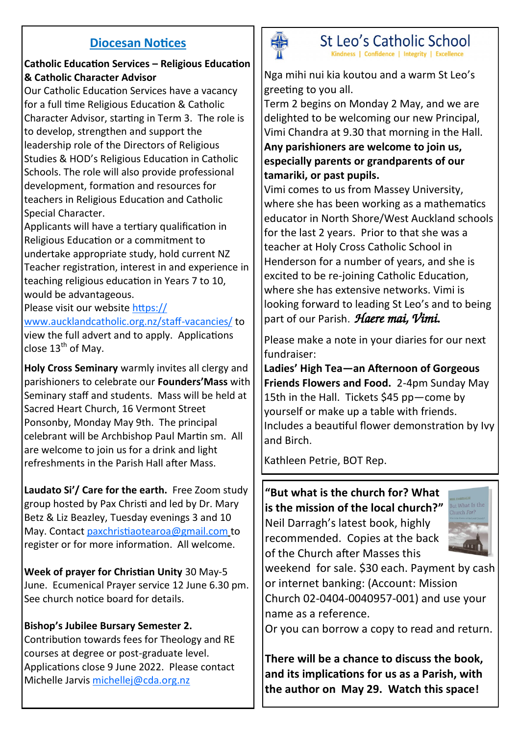## **Diocesan Notices**

#### **Catholic Education Services – Religious Education & Catholic Character Advisor**

Our Catholic Education Services have a vacancy for a full time Religious Education & Catholic Character Advisor, starting in Term 3. The role is to develop, strengthen and support the leadership role of the Directors of Religious Studies & HOD's Religious Education in Catholic Schools. The role will also provide professional development, formation and resources for teachers in Religious Education and Catholic Special Character.

Applicants will have a tertiary qualification in Religious Education or a commitment to undertake appropriate study, hold current NZ Teacher registration, interest in and experience in teaching religious education in Years 7 to 10, would be advantageous.

Please visit our website [https://](https://www.aucklandcatholic.org.nz/staff-vacancies/)

[www.aucklandcatholic.org.nz/staff](https://www.aucklandcatholic.org.nz/staff-vacancies/)-vacancies/ to view the full advert and to apply. Applications close  $13<sup>th</sup>$  of May.

**Holy Cross Seminary** warmly invites all clergy and parishioners to celebrate our **Founders'Mass** with Seminary staff and students. Mass will be held at Sacred Heart Church, 16 Vermont Street Ponsonby, Monday May 9th. The principal celebrant will be Archbishop Paul Martin sm. All are welcome to join us for a drink and light refreshments in the Parish Hall after Mass.

**Laudato Si'/ Care for the earth.** Free Zoom study group hosted by Pax Christi and led by Dr. Mary Betz & Liz Beazley, Tuesday evenings 3 and 10 May. Contact [paxchristiaotearoa@gmail.com](mailto:paxchristiaotearoa@gmail.com) to [re](mailto:paxchristiaotearoa@gmail)gister or for more [information.](mailto:paxchristiaotearoa@gmail.com) All welcome[.](mailto:paxchristiaotearoa@gmail.com)

**Week of prayer for Christian Unity** 30 May-5 June. Ecumenical Prayer service 12 June 6.30 pm. See church notice board for details.

#### **Bishop's Jubilee Bursary Semester 2.**

Contribution towards fees for Theology and RE courses at degree or post-graduate level. Applications close 9 June 2022. Please contact Michelle Jarvis [michellej@cda.org.nz](mailto:michellej@cda.org.nz)



St Leo's Catholic School Kindness | Confidence | Integrity | Excellence

Nga mihi nui kia koutou and a warm St Leo's greeting to you all.

Term 2 begins on Monday 2 May, and we are delighted to be welcoming our new Principal, Vimi Chandra at 9.30 that morning in the Hall.

**Any parishioners are welcome to join us, especially parents or grandparents of our tamariki, or past pupils.**

Vimi comes to us from Massey University, where she has been working as a mathematics educator in North Shore/West Auckland schools for the last 2 years. Prior to that she was a teacher at Holy Cross Catholic School in Henderson for a number of years, and she is excited to be re-joining Catholic Education, where she has extensive networks. Vimi is looking forward to leading St Leo's and to being part of our Parish. *Haere mai, Vimi.* 

Please make a note in your diaries for our next fundraiser:

**Ladies' High Tea—an Afternoon of Gorgeous Friends Flowers and Food.** 2-4pm Sunday May 15th in the Hall. Tickets \$45 pp—come by yourself or make up a table with friends. Includes a beautiful flower demonstration by Ivy and Birch.

Kathleen Petrie, BOT Rep.

**"But what is the church for? What is the mission of the local church?"**  Neil Darragh's latest book, highly recommended. Copies at the back of the Church after Masses this



[weekend for sale. \\$30 each](https://foodforfaith.org.nz/). Payment by cash or internet banking: (Account: Mission Church 02-0404-0040957-001) and use your name as a reference.

Or you can borrow a copy to read and return.

**There will be a chance to discuss the book, and its implications for us as a Parish, with the author on May 29. Watch this space!**